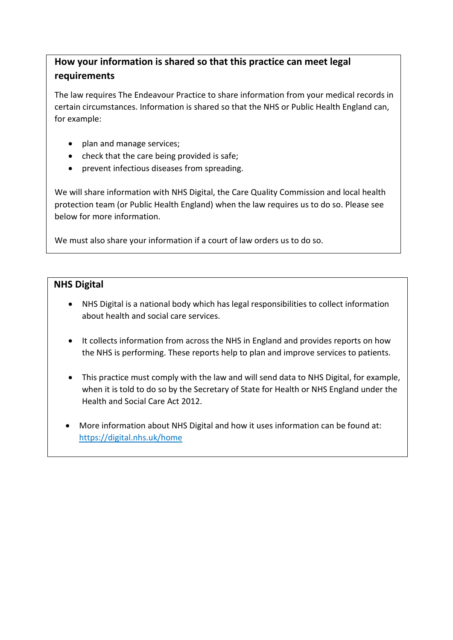## **How your information is shared so that this practice can meet legal requirements**

The law requires The Endeavour Practice to share information from your medical records in certain circumstances. Information is shared so that the NHS or Public Health England can, for example:

- plan and manage services;
- check that the care being provided is safe;
- prevent infectious diseases from spreading.

We will share information with NHS Digital, the Care Quality Commission and local health protection team (or Public Health England) when the law requires us to do so. Please see below for more information.

We must also share your information if a court of law orders us to do so.

## **NHS Digital**

- NHS Digital is a national body which has legal responsibilities to collect information about health and social care services.
- It collects information from across the NHS in England and provides reports on how the NHS is performing. These reports help to plan and improve services to patients.
- This practice must comply with the law and will send data to NHS Digital, for example, when it is told to do so by the Secretary of State for Health or NHS England under the Health and Social Care Act 2012.
- More information about NHS Digital and how it uses information can be found at: <https://digital.nhs.uk/home>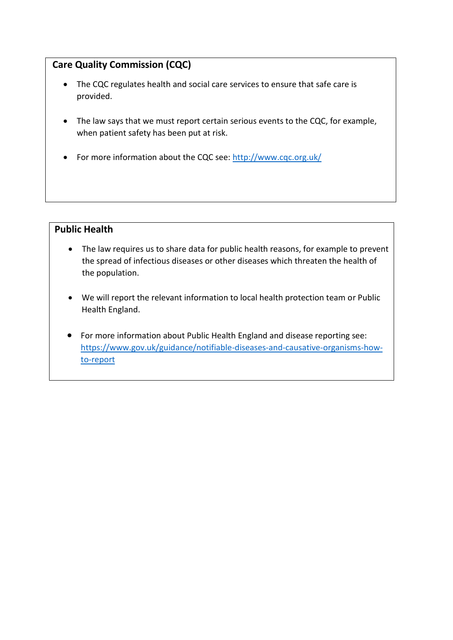## **Care Quality Commission (CQC)**

- The CQC regulates health and social care services to ensure that safe care is provided.
- The law says that we must report certain serious events to the CQC, for example, when patient safety has been put at risk.
- For more information about the CQC see:<http://www.cqc.org.uk/>

## **Public Health**

- The law requires us to share data for public health reasons, for example to prevent the spread of infectious diseases or other diseases which threaten the health of the population.
- We will report the relevant information to local health protection team or Public Health England.
- For more information about Public Health England and disease reporting see: [https://www.gov.uk/guidance/notifiable-diseases-and-causative-organisms-how](https://www.gov.uk/guidance/notifiable-diseases-and-causative-organisms-how-to-report)[to-report](https://www.gov.uk/guidance/notifiable-diseases-and-causative-organisms-how-to-report)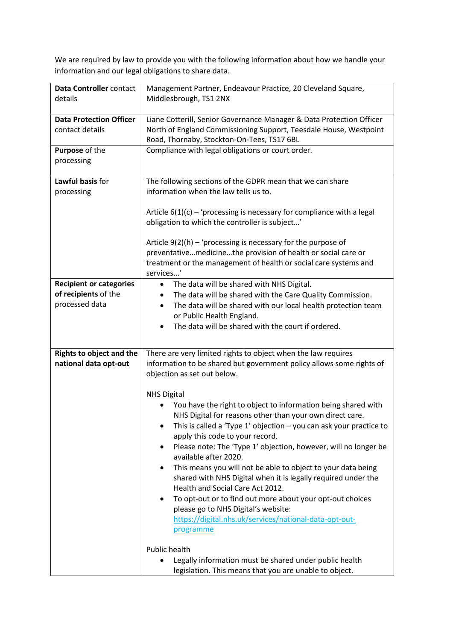We are required by law to provide you with the following information about how we handle your information and our legal obligations to share data.

| Data Controller contact<br>details                                       | Management Partner, Endeavour Practice, 20 Cleveland Square,<br>Middlesbrough, TS1 2NX                                                                                                                                                                                                                                                                                                                                                                                                                                                                                                                                                                                                                                                                                                                                                                                                                      |
|--------------------------------------------------------------------------|-------------------------------------------------------------------------------------------------------------------------------------------------------------------------------------------------------------------------------------------------------------------------------------------------------------------------------------------------------------------------------------------------------------------------------------------------------------------------------------------------------------------------------------------------------------------------------------------------------------------------------------------------------------------------------------------------------------------------------------------------------------------------------------------------------------------------------------------------------------------------------------------------------------|
| <b>Data Protection Officer</b><br>contact details                        | Liane Cotterill, Senior Governance Manager & Data Protection Officer<br>North of England Commissioning Support, Teesdale House, Westpoint<br>Road, Thornaby, Stockton-On-Tees, TS17 6BL                                                                                                                                                                                                                                                                                                                                                                                                                                                                                                                                                                                                                                                                                                                     |
| Purpose of the<br>processing                                             | Compliance with legal obligations or court order.                                                                                                                                                                                                                                                                                                                                                                                                                                                                                                                                                                                                                                                                                                                                                                                                                                                           |
| Lawful basis for<br>processing                                           | The following sections of the GDPR mean that we can share<br>information when the law tells us to.<br>Article $6(1)(c)$ – 'processing is necessary for compliance with a legal<br>obligation to which the controller is subject'                                                                                                                                                                                                                                                                                                                                                                                                                                                                                                                                                                                                                                                                            |
|                                                                          | Article $9(2)(h)$ – 'processing is necessary for the purpose of<br>preventativemedicinethe provision of health or social care or<br>treatment or the management of health or social care systems and<br>services'                                                                                                                                                                                                                                                                                                                                                                                                                                                                                                                                                                                                                                                                                           |
| <b>Recipient or categories</b><br>of recipients of the<br>processed data | The data will be shared with NHS Digital.<br>$\bullet$<br>The data will be shared with the Care Quality Commission.<br>The data will be shared with our local health protection team<br>or Public Health England.<br>The data will be shared with the court if ordered.<br>$\bullet$                                                                                                                                                                                                                                                                                                                                                                                                                                                                                                                                                                                                                        |
| <b>Rights to object and the</b><br>national data opt-out                 | There are very limited rights to object when the law requires<br>information to be shared but government policy allows some rights of<br>objection as set out below.<br><b>NHS Digital</b><br>You have the right to object to information being shared with<br>NHS Digital for reasons other than your own direct care.<br>This is called a 'Type $1'$ objection $-$ you can ask your practice to<br>٠<br>apply this code to your record.<br>Please note: The 'Type 1' objection, however, will no longer be<br>available after 2020.<br>This means you will not be able to object to your data being<br>shared with NHS Digital when it is legally required under the<br>Health and Social Care Act 2012.<br>To opt-out or to find out more about your opt-out choices<br>٠<br>please go to NHS Digital's website:<br>https://digital.nhs.uk/services/national-data-opt-out-<br>programme<br>Public health |
|                                                                          | Legally information must be shared under public health<br>legislation. This means that you are unable to object.                                                                                                                                                                                                                                                                                                                                                                                                                                                                                                                                                                                                                                                                                                                                                                                            |